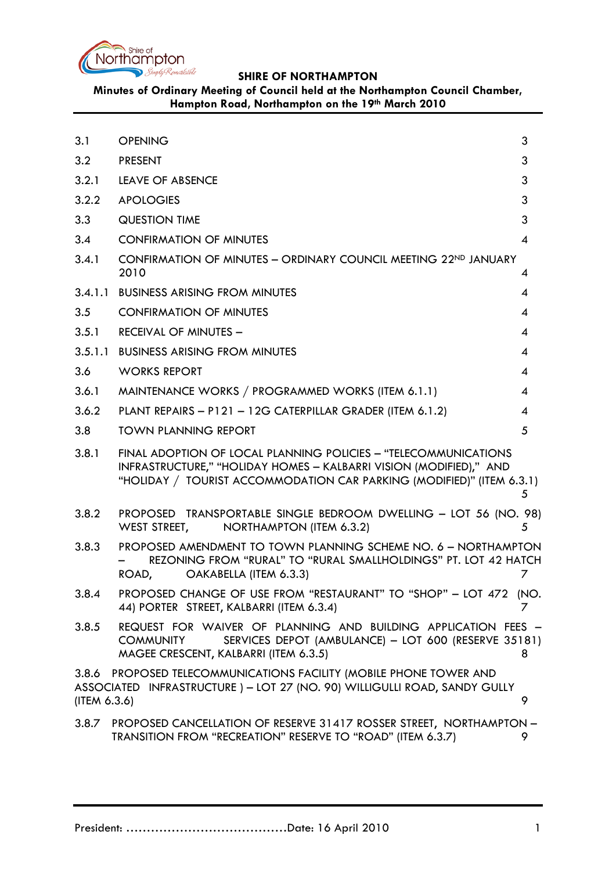

# **Minutes of Ordinary Meeting of Council held at the Northampton Council Chamber, Hampton Road, Northampton on the 19th March 2010**

<span id="page-0-0"></span>

| 3.1          | <b>OPENING</b>                                                                                                                                                                                                 | 3              |
|--------------|----------------------------------------------------------------------------------------------------------------------------------------------------------------------------------------------------------------|----------------|
| 3.2          | <b>PRESENT</b>                                                                                                                                                                                                 | 3              |
| 3.2.1        | <b>LEAVE OF ABSENCE</b>                                                                                                                                                                                        | 3              |
| 3.2.2        | <b>APOLOGIES</b>                                                                                                                                                                                               | 3              |
| 3.3          | <b>QUESTION TIME</b>                                                                                                                                                                                           | 3              |
| 3.4          | <b>CONFIRMATION OF MINUTES</b>                                                                                                                                                                                 | 4              |
| 3.4.1        | CONFIRMATION OF MINUTES - ORDINARY COUNCIL MEETING 22ND JANUARY<br>2010                                                                                                                                        | 4              |
| 3.4.1.1      | <b>BUSINESS ARISING FROM MINUTES</b>                                                                                                                                                                           | 4              |
| 3.5          | <b>CONFIRMATION OF MINUTES</b>                                                                                                                                                                                 | 4              |
| 3.5.1        | <b>RECEIVAL OF MINUTES -</b>                                                                                                                                                                                   | 4              |
| 3.5.1.1      | <b>BUSINESS ARISING FROM MINUTES</b>                                                                                                                                                                           | 4              |
| 3.6          | <b>WORKS REPORT</b>                                                                                                                                                                                            | 4              |
| 3.6.1        | MAINTENANCE WORKS / PROGRAMMED WORKS (ITEM 6.1.1)                                                                                                                                                              | $\overline{4}$ |
| 3.6.2        | PLANT REPAIRS - P121 - 12G CATERPILLAR GRADER (ITEM 6.1.2)                                                                                                                                                     | 4              |
| 3.8          | <b>TOWN PLANNING REPORT</b>                                                                                                                                                                                    | 5              |
| 3.8.1        | FINAL ADOPTION OF LOCAL PLANNING POLICIES - "TELECOMMUNICATIONS<br>INFRASTRUCTURE," "HOLIDAY HOMES - KALBARRI VISION (MODIFIED)," AND<br>"HOLIDAY / TOURIST ACCOMMODATION CAR PARKING (MODIFIED)" (ITEM 6.3.1) | 5              |
| 3.8.2        | PROPOSED TRANSPORTABLE SINGLE BEDROOM DWELLING - LOT 56 (NO. 98)<br>WEST STREET,<br>NORTHAMPTON (ITEM 6.3.2)                                                                                                   | 5              |
| 3.8.3        | PROPOSED AMENDMENT TO TOWN PLANNING SCHEME NO. 6 - NORTHAMPTON<br>REZONING FROM "RURAL" TO "RURAL SMALLHOLDINGS" PT. LOT 42 HATCH<br>OAKABELLA (ITEM 6.3.3)<br>ROAD,                                           | 7              |
| 3.8.4        | PROPOSED CHANGE OF USE FROM "RESTAURANT" TO "SHOP" - LOT 472 (NO.<br>44) PORTER STREET, KALBARRI (ITEM 6.3.4)                                                                                                  | 7              |
| 3.8.5        | REQUEST FOR WAIVER OF PLANNING AND BUILDING APPLICATION FEES -<br>SERVICES DEPOT (AMBULANCE) - LOT 600 (RESERVE 35181)<br><b>COMMUNITY</b><br>MAGEE CRESCENT, KALBARRI (ITEM 6.3.5)                            | 8              |
| (ITEM 6.3.6) | 3.8.6 PROPOSED TELECOMMUNICATIONS FACILITY (MOBILE PHONE TOWER AND<br>ASSOCIATED INFRASTRUCTURE ) - LOT 27 (NO. 90) WILLIGULLI ROAD, SANDY GULLY                                                               | 9              |
| 3.8.7        | PROPOSED CANCELLATION OF RESERVE 31417 ROSSER STREET, NORTHAMPTON -<br>TRANSITION FROM "RECREATION" RESERVE TO "ROAD" (ITEM 6.3.7)                                                                             | 9.             |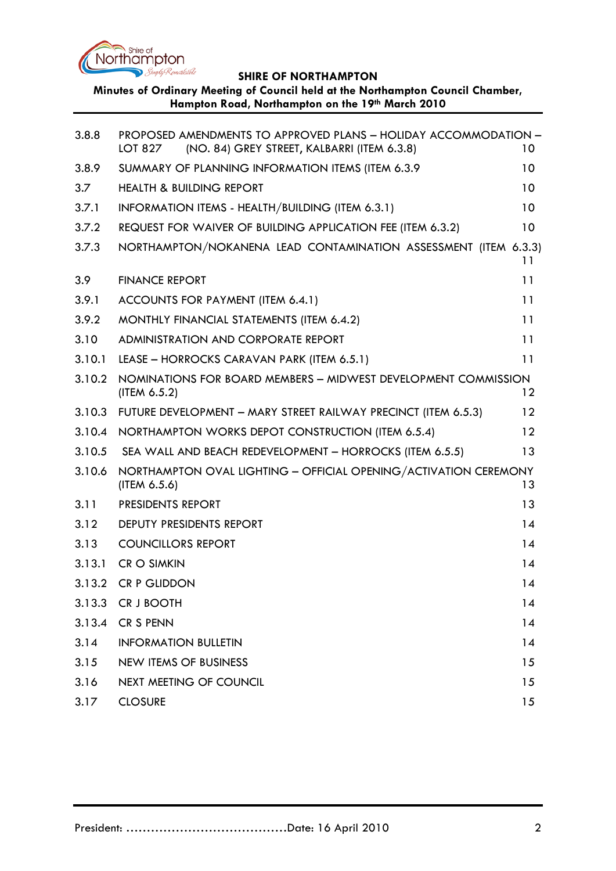

**Minutes of Ordinary Meeting of Council held at the Northampton Council Chamber, Hampton Road, Northampton on the 19th March 2010**

| 3.8.8  | PROPOSED AMENDMENTS TO APPROVED PLANS - HOLIDAY ACCOMMODATION -<br>(NO. 84) GREY STREET, KALBARRI (ITEM 6.3.8)<br>LOT 827 | 10              |
|--------|---------------------------------------------------------------------------------------------------------------------------|-----------------|
| 3.8.9  | SUMMARY OF PLANNING INFORMATION ITEMS (ITEM 6.3.9)                                                                        | 10              |
| 3.7    | <b>HEALTH &amp; BUILDING REPORT</b>                                                                                       | 10              |
| 3.7.1  | INFORMATION ITEMS - HEALTH/BUILDING (ITEM 6.3.1)                                                                          | 10              |
| 3.7.2  | REQUEST FOR WAIVER OF BUILDING APPLICATION FEE (ITEM 6.3.2)                                                               | 10 <sup>°</sup> |
| 3.7.3  | NORTHAMPTON/NOKANENA LEAD CONTAMINATION ASSESSMENT (ITEM 6.3.3)                                                           | 11              |
| 3.9    | <b>FINANCE REPORT</b>                                                                                                     | 11              |
| 3.9.1  | ACCOUNTS FOR PAYMENT (ITEM 6.4.1)                                                                                         | 11              |
| 3.9.2  | MONTHLY FINANCIAL STATEMENTS (ITEM 6.4.2)                                                                                 | 11              |
| 3.10   | ADMINISTRATION AND CORPORATE REPORT                                                                                       | 11              |
| 3.10.1 | LEASE - HORROCKS CARAVAN PARK (ITEM 6.5.1)                                                                                | 11              |
| 3.10.2 | NOMINATIONS FOR BOARD MEMBERS - MIDWEST DEVELOPMENT COMMISSION<br>(ITEM 6.5.2)                                            | $12 \,$         |
| 3.10.3 | FUTURE DEVELOPMENT - MARY STREET RAILWAY PRECINCT (ITEM 6.5.3)                                                            | 12              |
| 3.10.4 | NORTHAMPTON WORKS DEPOT CONSTRUCTION (ITEM 6.5.4)                                                                         | 12              |
| 3.10.5 | SEA WALL AND BEACH REDEVELOPMENT - HORROCKS (ITEM 6.5.5)                                                                  | 13              |
| 3.10.6 | NORTHAMPTON OVAL LIGHTING - OFFICIAL OPENING/ACTIVATION CEREMONY<br>(ITEM 6.5.6)                                          | 13              |
| 3.11   | PRESIDENTS REPORT                                                                                                         | 13              |
| 3.12   | DEPUTY PRESIDENTS REPORT                                                                                                  | 14              |
| 3.13   | <b>COUNCILLORS REPORT</b>                                                                                                 | 14              |
| 3.13.1 | <b>CR O SIMKIN</b>                                                                                                        | 14              |
|        | 3.13.2 CR P GLIDDON                                                                                                       | 14              |
| 3.13.3 | CR J BOOTH                                                                                                                | 14              |
| 3.13.4 | CR S PENN                                                                                                                 | 14              |
| 3.14   | <b>INFORMATION BULLETIN</b>                                                                                               | 14              |
| 3.15   | <b>NEW ITEMS OF BUSINESS</b>                                                                                              | 15              |
| 3.16   | NEXT MEETING OF COUNCIL                                                                                                   | 15              |
| 3.17   | <b>CLOSURE</b>                                                                                                            | 15              |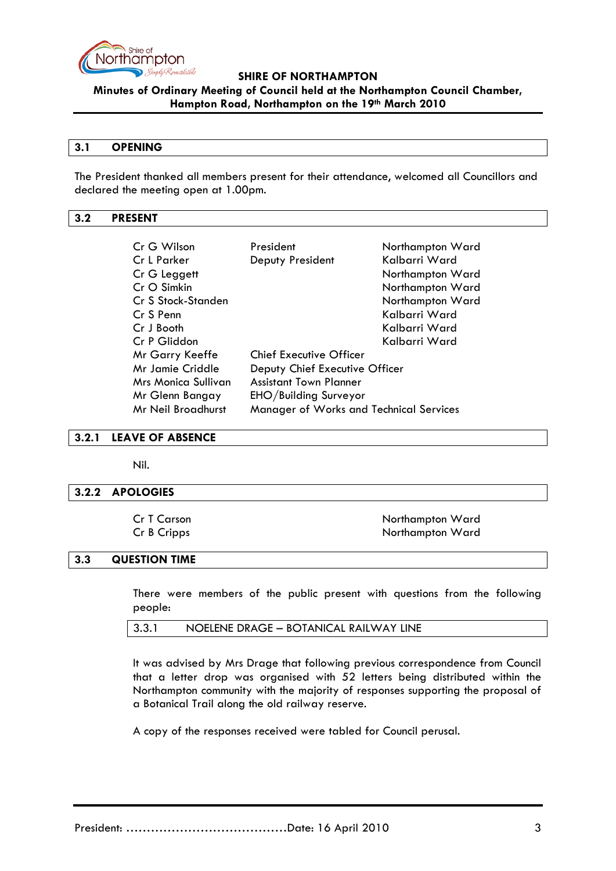

**Minutes of Ordinary Meeting of Council held at the Northampton Council Chamber, Hampton Road, Northampton on the 19th March 2010**

#### **3.1 OPENING**

The President thanked all members present for their attendance, welcomed all Councillors and declared the meeting open at 1.00pm.

### <span id="page-2-0"></span>**3.2 PRESENT**

| Cr G Wilson         | President                               | Northampton Ward |
|---------------------|-----------------------------------------|------------------|
| Cr L Parker         | Deputy President                        | Kalbarri Ward    |
| Cr G Leggett        |                                         | Northampton Ward |
| Cr O Simkin         |                                         | Northampton Ward |
| Cr S Stock-Standen  |                                         | Northampton Ward |
| Cr S Penn           |                                         | Kalbarri Ward    |
| Cr J Booth          |                                         | Kalbarri Ward    |
| Cr P Gliddon        |                                         | Kalbarri Ward    |
| Mr Garry Keeffe     | <b>Chief Executive Officer</b>          |                  |
| Mr Jamie Criddle    | Deputy Chief Executive Officer          |                  |
| Mrs Monica Sullivan | <b>Assistant Town Planner</b>           |                  |
| Mr Glenn Bangay     | EHO/Building Surveyor                   |                  |
| Mr Neil Broadhurst  | Manager of Works and Technical Services |                  |

<span id="page-2-1"></span>**3.2.1 LEAVE OF ABSENCE**

Nil.

### <span id="page-2-2"></span>**3.2.2 APOLOGIES**

Cr T Carson Northampton Ward Cr B Cripps Northampton Ward

### <span id="page-2-3"></span>**3.3 QUESTION TIME**

There were members of the public present with questions from the following people:

|  | 3.3.1<br>NOELENE DRAGE - BOTANICAL RAILWAY LINE |
|--|-------------------------------------------------|
|--|-------------------------------------------------|

It was advised by Mrs Drage that following previous correspondence from Council that a letter drop was organised with 52 letters being distributed within the Northampton community with the majority of responses supporting the proposal of a Botanical Trail along the old railway reserve.

A copy of the responses received were tabled for Council perusal.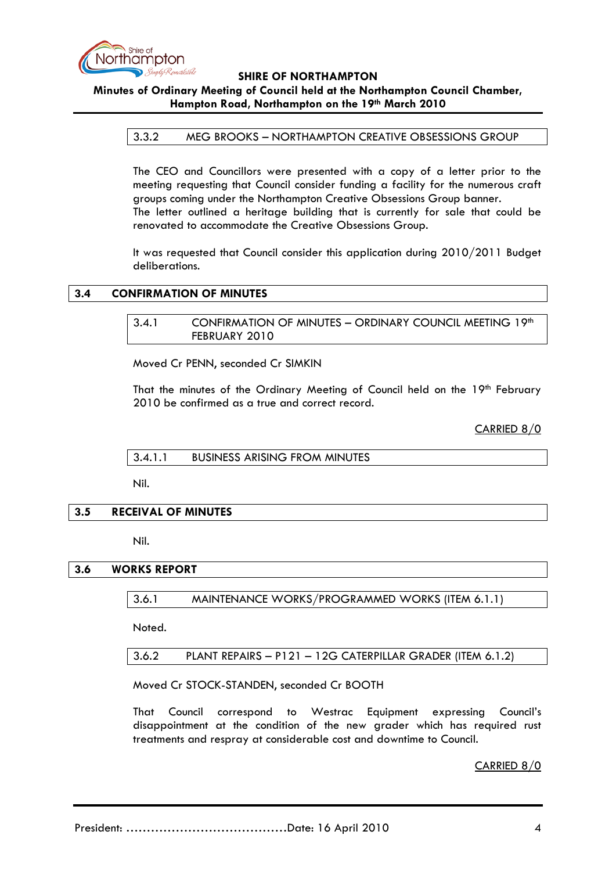

# **Minutes of Ordinary Meeting of Council held at the Northampton Council Chamber, Hampton Road, Northampton on the 19th March 2010**

### 3.3.2 MEG BROOKS – NORTHAMPTON CREATIVE OBSESSIONS GROUP

The CEO and Councillors were presented with a copy of a letter prior to the meeting requesting that Council consider funding a facility for the numerous craft groups coming under the Northampton Creative Obsessions Group banner. The letter outlined a heritage building that is currently for sale that could be renovated to accommodate the Creative Obsessions Group.

It was requested that Council consider this application during 2010/2011 Budget deliberations.

### <span id="page-3-1"></span><span id="page-3-0"></span>**3.4 CONFIRMATION OF MINUTES**

### 3.4.1 CONFIRMATION OF MINUTES - ORDINARY COUNCIL MEETING 19th FEBRUARY 2010

Moved Cr PENN, seconded Cr SIMKIN

That the minutes of the Ordinary Meeting of Council held on the 19th February 2010 be confirmed as a true and correct record.

CARRIED 8/0

<span id="page-3-2"></span>3.4.1.1 BUSINESS ARISING FROM MINUTES

Nil.

### <span id="page-3-3"></span>**3.5 RECEIVAL OF MINUTES**

Nil.

### **3.6 WORKS REPORT**

3.6.1 MAINTENANCE WORKS/PROGRAMMED WORKS (ITEM 6.1.1)

Noted.

3.6.2 PLANT REPAIRS – P121 – 12G CATERPILLAR GRADER (ITEM 6.1.2)

Moved Cr STOCK-STANDEN, seconded Cr BOOTH

That Council correspond to Westrac Equipment expressing Council's disappointment at the condition of the new grader which has required rust treatments and respray at considerable cost and downtime to Council.

CARRIED 8/0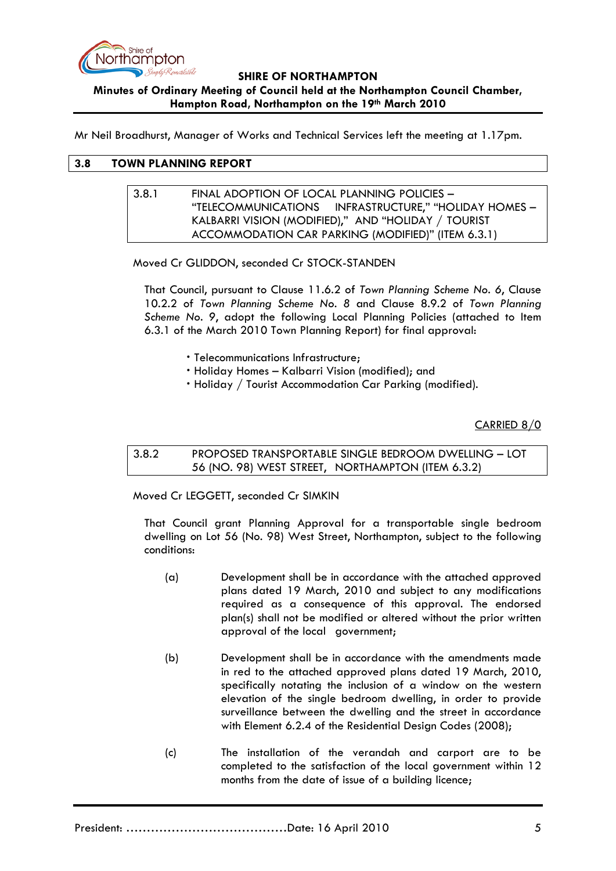

## **SHIRE OF NORTHAMPTON Minutes of Ordinary Meeting of Council held at the Northampton Council Chamber, Hampton Road, Northampton on the 19th March 2010**

Mr Neil Broadhurst, Manager of Works and Technical Services left the meeting at 1.17pm.

## **3.8 TOWN PLANNING REPORT**

### 3.8.1 FINAL ADOPTION OF LOCAL PLANNING POLICIES – "TELECOMMUNICATIONS INFRASTRUCTURE," "HOLIDAY HOMES – KALBARRI VISION (MODIFIED)," AND "HOLIDAY / TOURIST ACCOMMODATION CAR PARKING (MODIFIED)" (ITEM 6.3.1)

Moved Cr GLIDDON, seconded Cr STOCK-STANDEN

That Council, pursuant to Clause 11.6.2 of *Town Planning Scheme No. 6*, Clause 10.2.2 of *Town Planning Scheme No. 8* and Clause 8.9.2 of *Town Planning Scheme No. 9*, adopt the following Local Planning Policies (attached to Item 6.3.1 of the March 2010 Town Planning Report) for final approval:

- Telecommunications Infrastructure;
- Holiday Homes Kalbarri Vision (modified); and
- Holiday / Tourist Accommodation Car Parking (modified).

CARRIED 8/0

3.8.2 PROPOSED TRANSPORTABLE SINGLE BEDROOM DWELLING – LOT 56 (NO. 98) WEST STREET, NORTHAMPTON (ITEM 6.3.2)

Moved Cr LEGGETT, seconded Cr SIMKIN

That Council grant Planning Approval for a transportable single bedroom dwelling on Lot 56 (No. 98) West Street, Northampton, subject to the following conditions:

- (a) Development shall be in accordance with the attached approved plans dated 19 March, 2010 and subject to any modifications required as a consequence of this approval. The endorsed plan(s) shall not be modified or altered without the prior written approval of the local government;
- (b) Development shall be in accordance with the amendments made in red to the attached approved plans dated 19 March, 2010, specifically notating the inclusion of a window on the western elevation of the single bedroom dwelling, in order to provide surveillance between the dwelling and the street in accordance with Element 6.2.4 of the Residential Design Codes (2008);
- (c) The installation of the verandah and carport are to be completed to the satisfaction of the local government within 12 months from the date of issue of a building licence;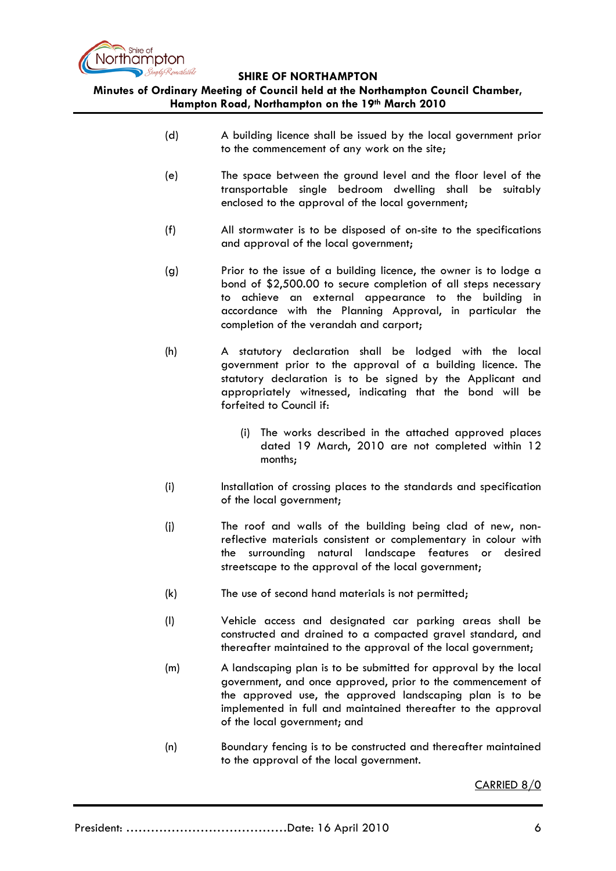

**Minutes of Ordinary Meeting of Council held at the Northampton Council Chamber, Hampton Road, Northampton on the 19th March 2010**

- (d) A building licence shall be issued by the local government prior to the commencement of any work on the site;
- (e) The space between the ground level and the floor level of the transportable single bedroom dwelling shall be suitably enclosed to the approval of the local government;
- (f) All stormwater is to be disposed of on-site to the specifications and approval of the local government;
- (g) Prior to the issue of a building licence, the owner is to lodge a bond of \$2,500.00 to secure completion of all steps necessary to achieve an external appearance to the building in accordance with the Planning Approval, in particular the completion of the verandah and carport;
- (h) A statutory declaration shall be lodged with the local government prior to the approval of a building licence. The statutory declaration is to be signed by the Applicant and appropriately witnessed, indicating that the bond will be forfeited to Council if:
	- (i) The works described in the attached approved places dated 19 March, 2010 are not completed within 12 months;
- (i) Installation of crossing places to the standards and specification of the local government;
- (j) The roof and walls of the building being clad of new, nonreflective materials consistent or complementary in colour with the surrounding natural landscape features or desired streetscape to the approval of the local government;
- (k) The use of second hand materials is not permitted;
- (l) Vehicle access and designated car parking areas shall be constructed and drained to a compacted gravel standard, and thereafter maintained to the approval of the local government;
- (m) A landscaping plan is to be submitted for approval by the local government, and once approved, prior to the commencement of the approved use, the approved landscaping plan is to be implemented in full and maintained thereafter to the approval of the local government; and
- (n) Boundary fencing is to be constructed and thereafter maintained to the approval of the local government.

CARRIED 8/0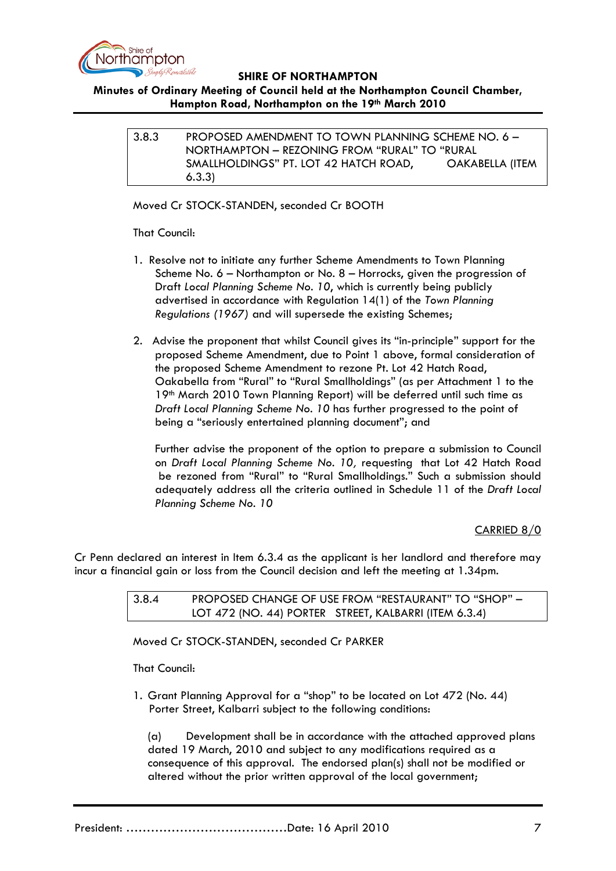

# **Minutes of Ordinary Meeting of Council held at the Northampton Council Chamber, Hampton Road, Northampton on the 19th March 2010**

3.8.3 PROPOSED AMENDMENT TO TOWN PLANNING SCHEME NO. 6 – NORTHAMPTON – REZONING FROM "RURAL" TO "RURAL SMALLHOLDINGS" PT. LOT 42 HATCH ROAD, OAKABELLA (ITEM 6.3.3)

Moved Cr STOCK-STANDEN, seconded Cr BOOTH

## That Council:

- 1. Resolve not to initiate any further Scheme Amendments to Town Planning Scheme No. 6 – Northampton or No. 8 – Horrocks, given the progression of Draft *Local Planning Scheme No. 10*, which is currently being publicly advertised in accordance with Regulation 14(1) of the *Town Planning Regulations (1967)* and will supersede the existing Schemes;
- 2. Advise the proponent that whilst Council gives its "in-principle" support for the proposed Scheme Amendment, due to Point 1 above, formal consideration of the proposed Scheme Amendment to rezone Pt. Lot 42 Hatch Road, Oakabella from "Rural" to "Rural Smallholdings" (as per Attachment 1 to the 19th March 2010 Town Planning Report) will be deferred until such time as *Draft Local Planning Scheme No. 10* has further progressed to the point of being a "seriously entertained planning document"; and

Further advise the proponent of the option to prepare a submission to Council on *Draft Local Planning Scheme No. 10,* requesting that Lot 42 Hatch Road be rezoned from "Rural" to "Rural Smallholdings." Such a submission should adequately address all the criteria outlined in Schedule 11 of the *Draft Local Planning Scheme No. 10*

# CARRIED 8/0

Cr Penn declared an interest in Item 6.3.4 as the applicant is her landlord and therefore may incur a financial gain or loss from the Council decision and left the meeting at 1.34pm.

| 3.8.4 | PROPOSED CHANGE OF USE FROM "RESTAURANT" TO "SHOP" -  |
|-------|-------------------------------------------------------|
|       | LOT 472 (NO. 44) PORTER STREET, KALBARRI (ITEM 6.3.4) |

Moved Cr STOCK-STANDEN, seconded Cr PARKER

That Council:

1. Grant Planning Approval for a "shop" to be located on Lot 472 (No. 44) Porter Street, Kalbarri subject to the following conditions:

(a) Development shall be in accordance with the attached approved plans dated 19 March, 2010 and subject to any modifications required as a consequence of this approval. The endorsed plan(s) shall not be modified or altered without the prior written approval of the local government;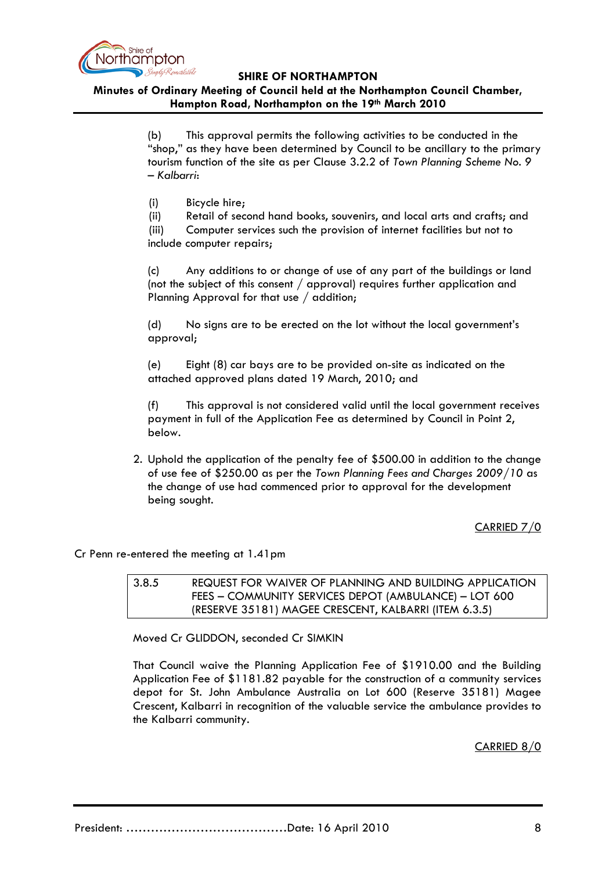

**Minutes of Ordinary Meeting of Council held at the Northampton Council Chamber, Hampton Road, Northampton on the 19th March 2010**

> (b) This approval permits the following activities to be conducted in the "shop," as they have been determined by Council to be ancillary to the primary tourism function of the site as per Clause 3.2.2 of *Town Planning Scheme No. 9 – Kalbarri*:

(i) Bicycle hire;

(ii) Retail of second hand books, souvenirs, and local arts and crafts; and

(iii) Computer services such the provision of internet facilities but not to include computer repairs;

(c) Any additions to or change of use of any part of the buildings or land (not the subject of this consent / approval) requires further application and Planning Approval for that use / addition;

(d) No signs are to be erected on the lot without the local government's approval;

(e) Eight (8) car bays are to be provided on-site as indicated on the attached approved plans dated 19 March, 2010; and

(f) This approval is not considered valid until the local government receives payment in full of the Application Fee as determined by Council in Point 2, below.

2. Uphold the application of the penalty fee of \$500.00 in addition to the change of use fee of \$250.00 as per the *Town Planning Fees and Charges 2009/10* as the change of use had commenced prior to approval for the development being sought.

CARRIED 7/0

Cr Penn re-entered the meeting at 1.41pm

3.8.5 REQUEST FOR WAIVER OF PLANNING AND BUILDING APPLICATION FEES – COMMUNITY SERVICES DEPOT (AMBULANCE) – LOT 600 (RESERVE 35181) MAGEE CRESCENT, KALBARRI (ITEM 6.3.5)

Moved Cr GLIDDON, seconded Cr SIMKIN

That Council waive the Planning Application Fee of \$1910.00 and the Building Application Fee of \$1181.82 payable for the construction of a community services depot for St. John Ambulance Australia on Lot 600 (Reserve 35181) Magee Crescent, Kalbarri in recognition of the valuable service the ambulance provides to the Kalbarri community.

CARRIED 8/0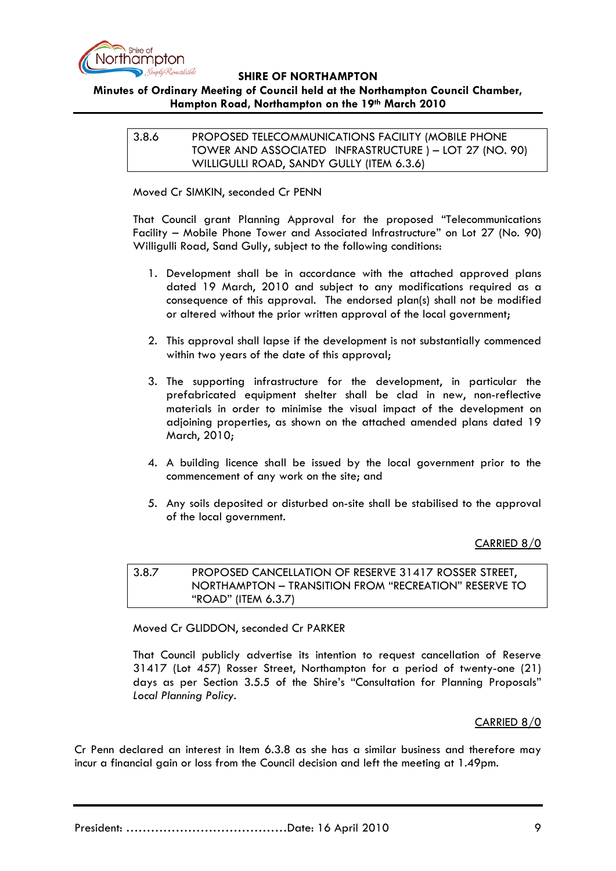

# **Minutes of Ordinary Meeting of Council held at the Northampton Council Chamber, Hampton Road, Northampton on the 19th March 2010**

3.8.6 PROPOSED TELECOMMUNICATIONS FACILITY (MOBILE PHONE TOWER AND ASSOCIATED INFRASTRUCTURE ) – LOT 27 (NO. 90) WILLIGULLI ROAD, SANDY GULLY (ITEM 6.3.6)

Moved Cr SIMKIN, seconded Cr PENN

That Council grant Planning Approval for the proposed "Telecommunications Facility – Mobile Phone Tower and Associated Infrastructure" on Lot 27 (No. 90) Willigulli Road, Sand Gully, subject to the following conditions:

- 1. Development shall be in accordance with the attached approved plans dated 19 March, 2010 and subject to any modifications required as a consequence of this approval. The endorsed plan(s) shall not be modified or altered without the prior written approval of the local government;
- 2. This approval shall lapse if the development is not substantially commenced within two years of the date of this approval;
- 3. The supporting infrastructure for the development, in particular the prefabricated equipment shelter shall be clad in new, non-reflective materials in order to minimise the visual impact of the development on adjoining properties, as shown on the attached amended plans dated 19 March, 2010;
- 4. A building licence shall be issued by the local government prior to the commencement of any work on the site; and
- 5. Any soils deposited or disturbed on-site shall be stabilised to the approval of the local government.

CARRIED 8/0

# 3.8.7 PROPOSED CANCELLATION OF RESERVE 31417 ROSSER STREET, NORTHAMPTON – TRANSITION FROM "RECREATION" RESERVE TO "ROAD" (ITEM 6.3.7)

Moved Cr GLIDDON, seconded Cr PARKER

That Council publicly advertise its intention to request cancellation of Reserve 31417 (Lot 457) Rosser Street, Northampton for a period of twenty-one (21) days as per Section 3.5.5 of the Shire's "Consultation for Planning Proposals" *Local Planning Policy.*

### CARRIED 8/0

Cr Penn declared an interest in Item 6.3.8 as she has a similar business and therefore may incur a financial gain or loss from the Council decision and left the meeting at 1.49pm.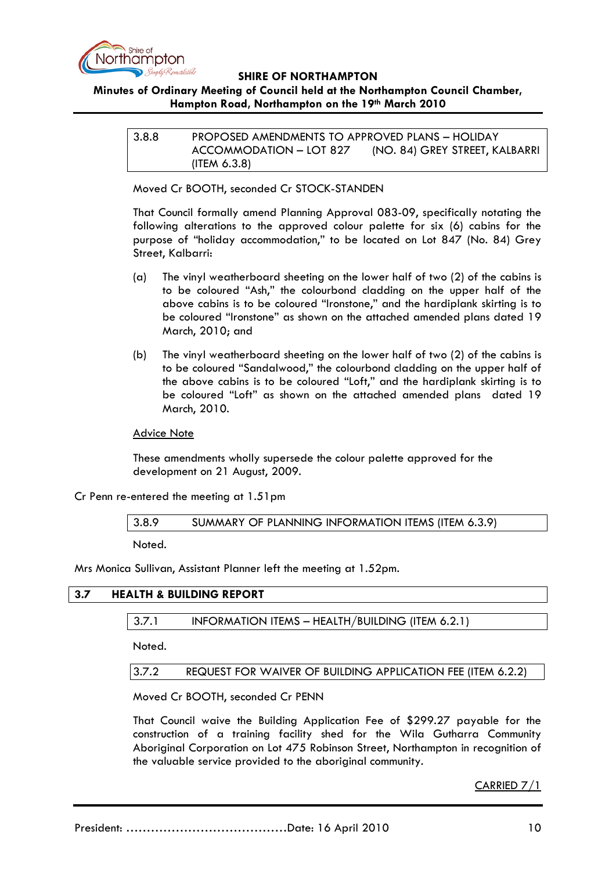

# **Minutes of Ordinary Meeting of Council held at the Northampton Council Chamber, Hampton Road, Northampton on the 19th March 2010**

| 3.8.8 | PROPOSED AMENDMENTS TO APPROVED PLANS - HOLIDAY |                                |
|-------|-------------------------------------------------|--------------------------------|
|       | ACCOMMODATION - LOT 827                         | (NO. 84) GREY STREET, KALBARRI |
|       | (ITEM $6.3.8$ )                                 |                                |

Moved Cr BOOTH, seconded Cr STOCK-STANDEN

That Council formally amend Planning Approval 083-09, specifically notating the following alterations to the approved colour palette for six (6) cabins for the purpose of "holiday accommodation," to be located on Lot 847 (No. 84) Grey Street, Kalbarri:

- (a) The vinyl weatherboard sheeting on the lower half of two (2) of the cabins is to be coloured "Ash," the colourbond cladding on the upper half of the above cabins is to be coloured "Ironstone," and the hardiplank skirting is to be coloured "Ironstone" as shown on the attached amended plans dated 19 March, 2010; and
- (b) The vinyl weatherboard sheeting on the lower half of two (2) of the cabins is to be coloured "Sandalwood," the colourbond cladding on the upper half of the above cabins is to be coloured "Loft," and the hardiplank skirting is to be coloured "Loft" as shown on the attached amended plans dated 19 March, 2010.

**Advice Note** 

These amendments wholly supersede the colour palette approved for the development on 21 August, 2009.

Cr Penn re-entered the meeting at 1.51pm

3.8.9 SUMMARY OF PLANNING INFORMATION ITEMS (ITEM 6.3.9)

Noted.

Mrs Monica Sullivan, Assistant Planner left the meeting at 1.52pm.

# **3.7 HEALTH & BUILDING REPORT**

3.7.1 INFORMATION ITEMS – HEALTH/BUILDING (ITEM 6.2.1)

Noted.

3.7.2 REQUEST FOR WAIVER OF BUILDING APPLICATION FEE (ITEM 6.2.2)

Moved Cr BOOTH, seconded Cr PENN

That Council waive the Building Application Fee of \$299.27 payable for the construction of a training facility shed for the Wila Gutharra Community Aboriginal Corporation on Lot 475 Robinson Street, Northampton in recognition of the valuable service provided to the aboriginal community.

CARRIED 7/1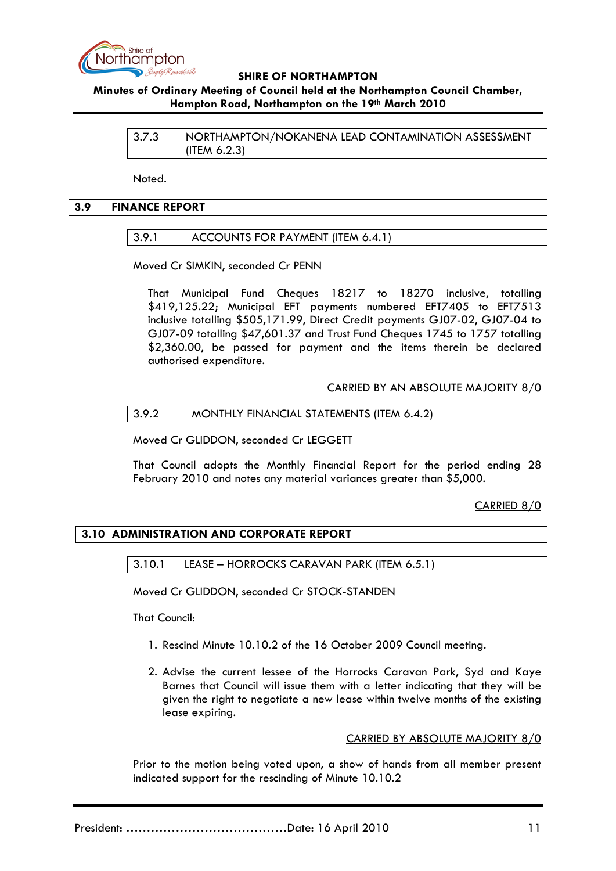

# **Minutes of Ordinary Meeting of Council held at the Northampton Council Chamber, Hampton Road, Northampton on the 19th March 2010**

3.7.3 NORTHAMPTON/NOKANENA LEAD CONTAMINATION ASSESSMENT (ITEM 6.2.3)

Noted.

### **3.9 FINANCE REPORT**

## 3.9.1 ACCOUNTS FOR PAYMENT (ITEM 6.4.1)

Moved Cr SIMKIN, seconded Cr PENN

That Municipal Fund Cheques 18217 to 18270 inclusive, totalling \$419,125.22; Municipal EFT payments numbered EFT7405 to EFT7513 inclusive totalling \$505,171.99, Direct Credit payments GJ07-02, GJ07-04 to GJ07-09 totalling \$47,601.37 and Trust Fund Cheques 1745 to 1757 totalling \$2,360.00, be passed for payment and the items therein be declared authorised expenditure.

## CARRIED BY AN ABSOLUTE MAJORITY 8/0

### 3.9.2 MONTHLY FINANCIAL STATEMENTS (ITEM 6.4.2)

Moved Cr GLIDDON, seconded Cr LEGGETT

That Council adopts the Monthly Financial Report for the period ending 28 February 2010 and notes any material variances greater than \$5,000.

# CARRIED 8/0

# **3.10 ADMINISTRATION AND CORPORATE REPORT**

3.10.1 LEASE – HORROCKS CARAVAN PARK (ITEM 6.5.1)

Moved Cr GLIDDON, seconded Cr STOCK-STANDEN

That Council:

- 1. Rescind Minute 10.10.2 of the 16 October 2009 Council meeting.
- 2. Advise the current lessee of the Horrocks Caravan Park, Syd and Kaye Barnes that Council will issue them with a letter indicating that they will be given the right to negotiate a new lease within twelve months of the existing lease expiring.

### CARRIED BY ABSOLUTE MAJORITY 8/0

Prior to the motion being voted upon, a show of hands from all member present indicated support for the rescinding of Minute 10.10.2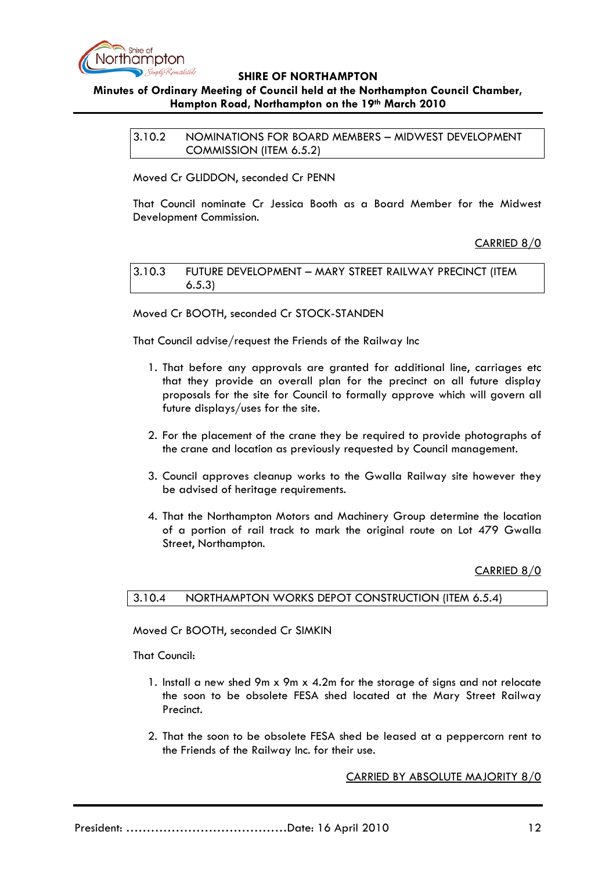

# **Minutes of Ordinary Meeting of Council held at the Northampton Council Chamber, Hampton Road, Northampton on the 19th March 2010**

3.10.2 NOMINATIONS FOR BOARD MEMBERS – MIDWEST DEVELOPMENT COMMISSION (ITEM 6.5.2)

Moved Cr GLIDDON, seconded Cr PENN

That Council nominate Cr Jessica Booth as a Board Member for the Midwest Development Commission.

## CARRIED 8/0

| 3.10.3 | FUTURE DEVELOPMENT - MARY STREET RAILWAY PRECINCT (ITEM |
|--------|---------------------------------------------------------|
|        | 6.5.3)                                                  |

Moved Cr BOOTH, seconded Cr STOCK-STANDEN

That Council advise/request the Friends of the Railway Inc

- 1. That before any approvals are granted for additional line, carriages etc that they provide an overall plan for the precinct on all future display proposals for the site for Council to formally approve which will govern all future displays/uses for the site.
- 2. For the placement of the crane they be required to provide photographs of the crane and location as previously requested by Council management.
- 3. Council approves cleanup works to the Gwalla Railway site however they be advised of heritage requirements.
- 4. That the Northampton Motors and Machinery Group determine the location of a portion of rail track to mark the original route on Lot 479 Gwalla Street, Northampton.

CARRIED 8/0

### 3.10.4 NORTHAMPTON WORKS DEPOT CONSTRUCTION (ITEM 6.5.4)

Moved Cr BOOTH, seconded Cr SIMKIN

That Council:

- 1. Install a new shed 9m x 9m x 4.2m for the storage of signs and not relocate the soon to be obsolete FESA shed located at the Mary Street Railway Precinct.
- 2. That the soon to be obsolete FESA shed be leased at a peppercorn rent to the Friends of the Railway Inc. for their use.

CARRIED BY ABSOLUTE MAJORITY 8/0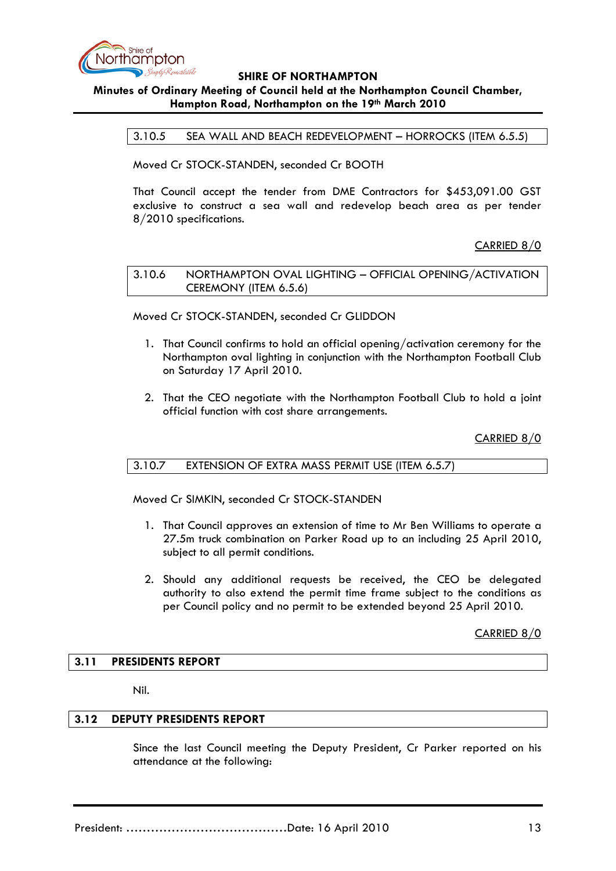

# **Minutes of Ordinary Meeting of Council held at the Northampton Council Chamber, Hampton Road, Northampton on the 19th March 2010**

3.10.5 SEA WALL AND BEACH REDEVELOPMENT – HORROCKS (ITEM 6.5.5)

Moved Cr STOCK-STANDEN, seconded Cr BOOTH

That Council accept the tender from DME Contractors for \$453,091.00 GST exclusive to construct a sea wall and redevelop beach area as per tender 8/2010 specifications.

CARRIED 8/0

## 3.10.6 NORTHAMPTON OVAL LIGHTING – OFFICIAL OPENING/ACTIVATION CEREMONY (ITEM 6.5.6)

Moved Cr STOCK-STANDEN, seconded Cr GLIDDON

- 1. That Council confirms to hold an official opening/activation ceremony for the Northampton oval lighting in conjunction with the Northampton Football Club on Saturday 17 April 2010.
- 2. That the CEO negotiate with the Northampton Football Club to hold a joint official function with cost share arrangements.

CARRIED 8/0

# 3.10.7 EXTENSION OF EXTRA MASS PERMIT USE (ITEM 6.5.7)

Moved Cr SIMKIN, seconded Cr STOCK-STANDEN

- 1. That Council approves an extension of time to Mr Ben Williams to operate a 27.5m truck combination on Parker Road up to an including 25 April 2010, subject to all permit conditions.
- 2. Should any additional requests be received, the CEO be delegated authority to also extend the permit time frame subject to the conditions as per Council policy and no permit to be extended beyond 25 April 2010.

CARRIED 8/0

### **3.11 PRESIDENTS REPORT**

Nil.

## **3.12 DEPUTY PRESIDENTS REPORT**

Since the last Council meeting the Deputy President, Cr Parker reported on his attendance at the following:

President: …………………………………Date: 16 April 2010 13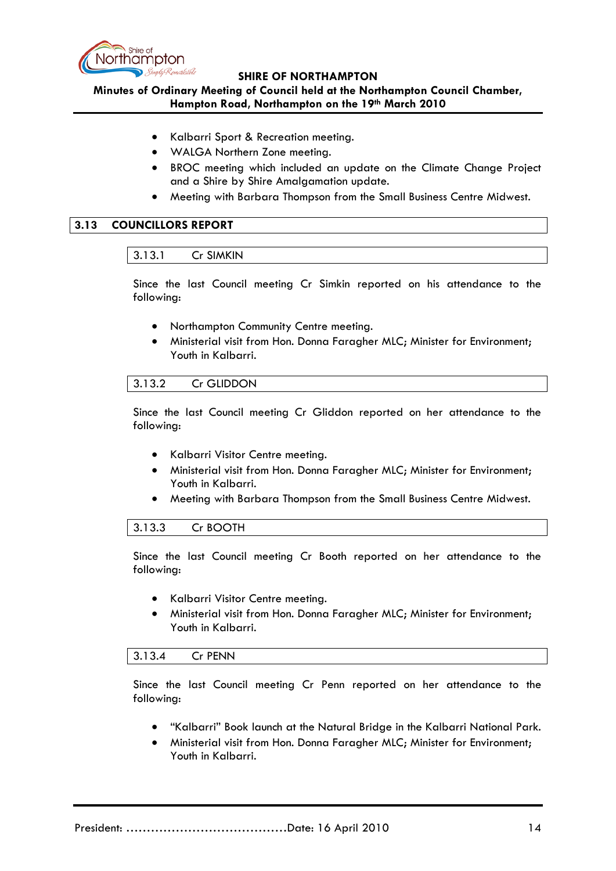

**Minutes of Ordinary Meeting of Council held at the Northampton Council Chamber, Hampton Road, Northampton on the 19th March 2010**

- Kalbarri Sport & Recreation meeting.
- WALGA Northern Zone meeting.
- BROC meeting which included an update on the Climate Change Project and a Shire by Shire Amalgamation update.
- Meeting with Barbara Thompson from the Small Business Centre Midwest.

# **3.13 COUNCILLORS REPORT**

## 3.13.1 Cr SIMKIN

Since the last Council meeting Cr Simkin reported on his attendance to the following:

- Northampton Community Centre meeting.
- Ministerial visit from Hon. Donna Faragher MLC; Minister for Environment; Youth in Kalbarri.

# 3.13.2 Cr GLIDDON

Since the last Council meeting Cr Gliddon reported on her attendance to the following:

- Kalbarri Visitor Centre meeting.
- Ministerial visit from Hon. Donna Faragher MLC; Minister for Environment; Youth in Kalbarri.
- Meeting with Barbara Thompson from the Small Business Centre Midwest.

### 3.13.3 Cr BOOTH

Since the last Council meeting Cr Booth reported on her attendance to the following:

- Kalbarri Visitor Centre meeting.
- Ministerial visit from Hon. Donna Faragher MLC; Minister for Environment; Youth in Kalbarri.

### 3.13.4 Cr PENN

Since the last Council meeting Cr Penn reported on her attendance to the following:

- "Kalbarri" Book launch at the Natural Bridge in the Kalbarri National Park.
- Ministerial visit from Hon. Donna Faragher MLC; Minister for Environment; Youth in Kalbarri.